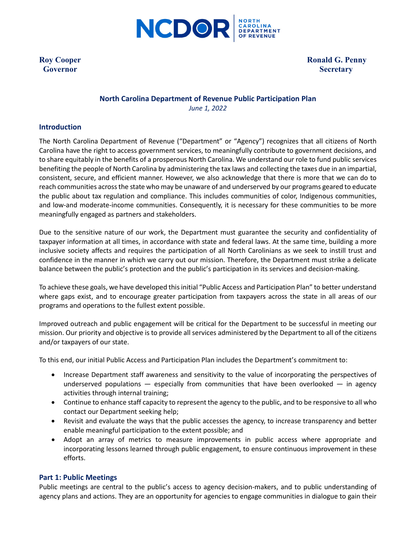

**Covernor** Secretary

**Roy Cooper** Ronald G. Penny

# **North Carolina Department of Revenue Public Participation Plan** *June 1, 2022*

### **Introduction**

The North Carolina Department of Revenue ("Department" or "Agency") recognizes that all citizens of North Carolina have the right to access government services, to meaningfully contribute to government decisions, and to share equitably in the benefits of a prosperous North Carolina. We understand our role to fund public services benefiting the people of North Carolina by administering the tax laws and collecting the taxes due in an impartial, consistent, secure, and efficient manner. However, we also acknowledge that there is more that we can do to reach communities across the state who may be unaware of and underserved by our programs geared to educate the public about tax regulation and compliance. This includes communities of color, Indigenous communities, and low-and moderate-income communities. Consequently, it is necessary for these communities to be more meaningfully engaged as partners and stakeholders.

Due to the sensitive nature of our work, the Department must guarantee the security and confidentiality of taxpayer information at all times, in accordance with state and federal laws. At the same time, building a more inclusive society affects and requires the participation of all North Carolinians as we seek to instill trust and confidence in the manner in which we carry out our mission. Therefore, the Department must strike a delicate balance between the public's protection and the public's participation in its services and decision-making.

To achieve these goals, we have developed this initial "Public Access and Participation Plan" to better understand where gaps exist, and to encourage greater participation from taxpayers across the state in all areas of our programs and operations to the fullest extent possible.

Improved outreach and public engagement will be critical for the Department to be successful in meeting our mission. Our priority and objective is to provide all services administered by the Department to all of the citizens and/or taxpayers of our state.

To this end, our initial Public Access and Participation Plan includes the Department's commitment to:

- Increase Department staff awareness and sensitivity to the value of incorporating the perspectives of underserved populations  $-$  especially from communities that have been overlooked  $-$  in agency activities through internal training;
- Continue to enhance staff capacity to represent the agency to the public, and to be responsive to all who contact our Department seeking help;
- Revisit and evaluate the ways that the public accesses the agency, to increase transparency and better enable meaningful participation to the extent possible; and
- Adopt an array of metrics to measure improvements in public access where appropriate and incorporating lessons learned through public engagement, to ensure continuous improvement in these efforts.

### **Part 1: Public Meetings**

Public meetings are central to the public's access to agency decision-makers, and to public understanding of agency plans and actions. They are an opportunity for agencies to engage communities in dialogue to gain their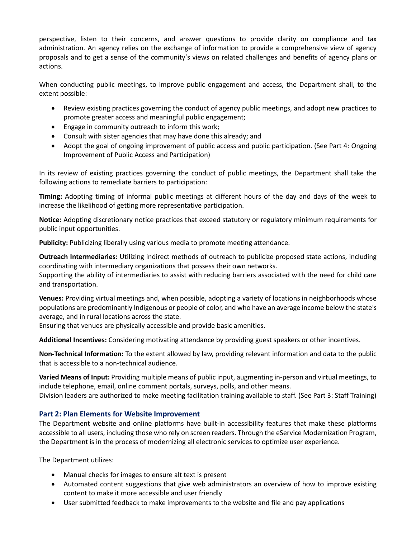perspective, listen to their concerns, and answer questions to provide clarity on compliance and tax administration. An agency relies on the exchange of information to provide a comprehensive view of agency proposals and to get a sense of the community's views on related challenges and benefits of agency plans or actions.

When conducting public meetings, to improve public engagement and access, the Department shall, to the extent possible:

- Review existing practices governing the conduct of agency public meetings, and adopt new practices to promote greater access and meaningful public engagement;
- Engage in community outreach to inform this work;
- Consult with sister agencies that may have done this already; and
- Adopt the goal of ongoing improvement of public access and public participation. (See Part 4: Ongoing Improvement of Public Access and Participation)

In its review of existing practices governing the conduct of public meetings, the Department shall take the following actions to remediate barriers to participation:

**Timing:** Adopting timing of informal public meetings at different hours of the day and days of the week to increase the likelihood of getting more representative participation.

**Notice:** Adopting discretionary notice practices that exceed statutory or regulatory minimum requirements for public input opportunities.

**Publicity:** Publicizing liberally using various media to promote meeting attendance.

**Outreach Intermediaries:** Utilizing indirect methods of outreach to publicize proposed state actions, including coordinating with intermediary organizations that possess their own networks.

Supporting the ability of intermediaries to assist with reducing barriers associated with the need for child care and transportation.

**Venues:** Providing virtual meetings and, when possible, adopting a variety of locations in neighborhoods whose populations are predominantly Indigenous or people of color, and who have an average income below the state's average, and in rural locations across the state.

Ensuring that venues are physically accessible and provide basic amenities.

**Additional Incentives:** Considering motivating attendance by providing guest speakers or other incentives.

**Non-Technical Information:** To the extent allowed by law, providing relevant information and data to the public that is accessible to a non-technical audience.

**Varied Means of Input:** Providing multiple means of public input, augmenting in-person and virtual meetings, to include telephone, email, online comment portals, surveys, polls, and other means. Division leaders are authorized to make meeting facilitation training available to staff. (See Part 3: Staff Training)

## **Part 2: Plan Elements for Website Improvement**

The Department website and online platforms have built-in accessibility features that make these platforms accessible to all users, including those who rely on screen readers. Through the eService Modernization Program, the Department is in the process of modernizing all electronic services to optimize user experience.

The Department utilizes:

- Manual checks for images to ensure alt text is present
- Automated content suggestions that give web administrators an overview of how to improve existing content to make it more accessible and user friendly
- User submitted feedback to make improvements to the website and file and pay applications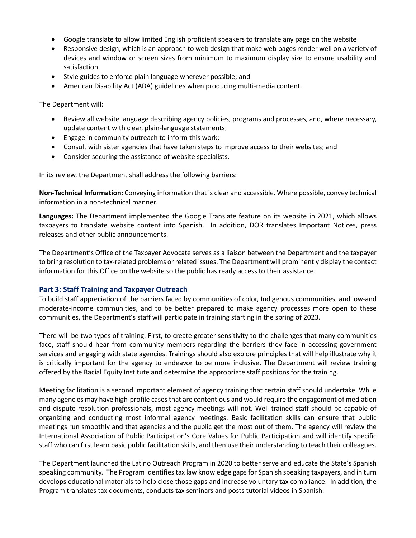- Google translate to allow limited English proficient speakers to translate any page on the website
- Responsive design, which is an approach to web design that make web pages render well on a variety of devices and window or screen sizes from minimum to maximum display size to ensure usability and satisfaction.
- Style guides to enforce plain language wherever possible; and
- American Disability Act (ADA) guidelines when producing multi-media content.

The Department will:

- Review all website language describing agency policies, programs and processes, and, where necessary, update content with clear, plain-language statements;
- Engage in community outreach to inform this work;
- Consult with sister agencies that have taken steps to improve access to their websites; and
- Consider securing the assistance of website specialists.

In its review, the Department shall address the following barriers:

**Non-Technical Information:** Conveying information that is clear and accessible. Where possible, convey technical information in a non-technical manner.

**Languages:** The Department implemented the Google Translate feature on its website in 2021, which allows taxpayers to translate website content into Spanish. In addition, DOR translates Important Notices, press releases and other public announcements.

The Department's Office of the Taxpayer Advocate serves as a liaison between the Department and the taxpayer to bring resolution to tax-related problems or related issues. The Department will prominently display the contact information for this Office on the website so the public has ready access to their assistance.

### **Part 3: Staff Training and Taxpayer Outreach**

To build staff appreciation of the barriers faced by communities of color, Indigenous communities, and low-and moderate-income communities, and to be better prepared to make agency processes more open to these communities, the Department's staff will participate in training starting in the spring of 2023.

There will be two types of training. First, to create greater sensitivity to the challenges that many communities face, staff should hear from community members regarding the barriers they face in accessing government services and engaging with state agencies. Trainings should also explore principles that will help illustrate why it is critically important for the agency to endeavor to be more inclusive. The Department will review training offered by the Racial Equity Institute and determine the appropriate staff positions for the training.

Meeting facilitation is a second important element of agency training that certain staff should undertake. While many agencies may have high-profile cases that are contentious and would require the engagement of mediation and dispute resolution professionals, most agency meetings will not. Well-trained staff should be capable of organizing and conducting most informal agency meetings. Basic facilitation skills can ensure that public meetings run smoothly and that agencies and the public get the most out of them. The agency will review the International Association of Public Participation's Core Values for Public Participation and will identify specific staff who can first learn basic public facilitation skills, and then use their understanding to teach their colleagues.

The Department launched the Latino Outreach Program in 2020 to better serve and educate the State's Spanish speaking community. The Program identifies tax law knowledge gaps for Spanish speaking taxpayers, and in turn develops educational materials to help close those gaps and increase voluntary tax compliance. In addition, the Program translates tax documents, conducts tax seminars and posts tutorial videos in Spanish.